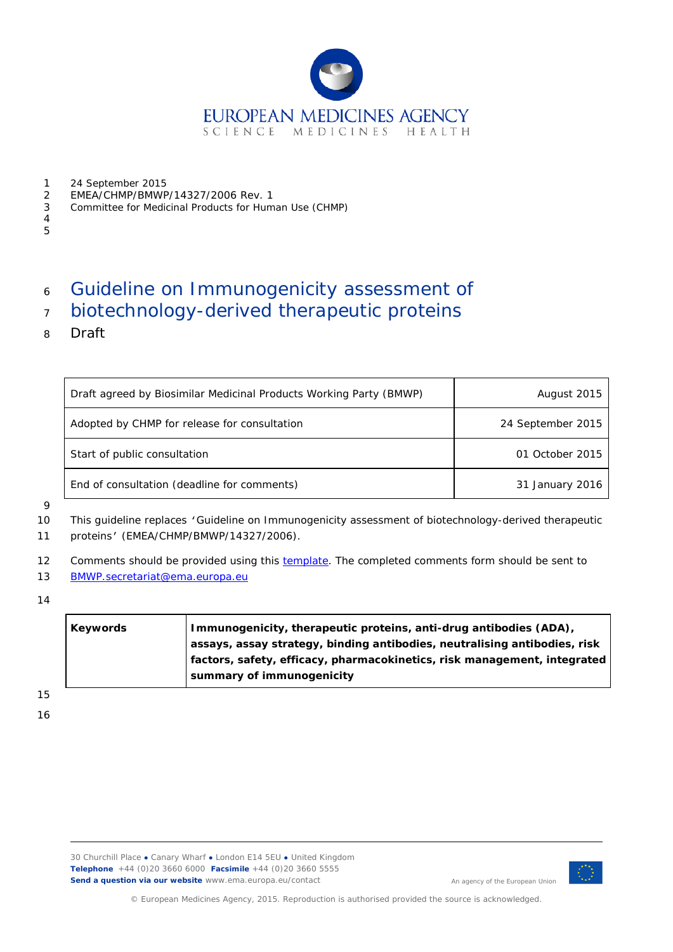

- 1 24 September 2015<br>2 EMEA/CHMP/BMWP
- 2 EMEA/CHMP/BMWP/14327/2006 Rev. 1<br>3 Committee for Medicinal Products for Hum
- 3 Committee for Medicinal Products for Human Use (CHMP)
- 4 5

# <sup>6</sup> Guideline on Immunogenicity assessment of

- <sup>7</sup> biotechnology-derived therapeutic proteins
- 8 Draft

| Draft agreed by Biosimilar Medicinal Products Working Party (BMWP) | August 2015       |  |
|--------------------------------------------------------------------|-------------------|--|
| Adopted by CHMP for release for consultation                       | 24 September 2015 |  |
| Start of public consultation                                       | 01 October 2015   |  |
| End of consultation (deadline for comments)                        | 31 January 2016   |  |

9

10 This guideline replaces 'Guideline on Immunogenicity assessment of biotechnology-derived therapeutic 11 proteins' (EMEA/CHMP/BMWP/14327/2006).

12 Comments should be provided using this [template.](http://www.ema.europa.eu/docs/en_GB/document_library/Template_or_form/2009/10/WC500004016.doc) The completed comments form should be sent to

- 13 [BMWP.secretariat@ema.europa.eu](mailto:BMWP.secretariat@ema.europa.eu)
- 14

| Keywords | Immunogenicity, therapeutic proteins, anti-drug antibodies (ADA),         |  |
|----------|---------------------------------------------------------------------------|--|
|          | assays, assay strategy, binding antibodies, neutralising antibodies, risk |  |
|          | factors, safety, efficacy, pharmacokinetics, risk management, integrated  |  |
|          | summary of immunogenicity                                                 |  |

15

16



An agency of the European Union

© European Medicines Agency, 2015. Reproduction is authorised provided the source is acknowledged.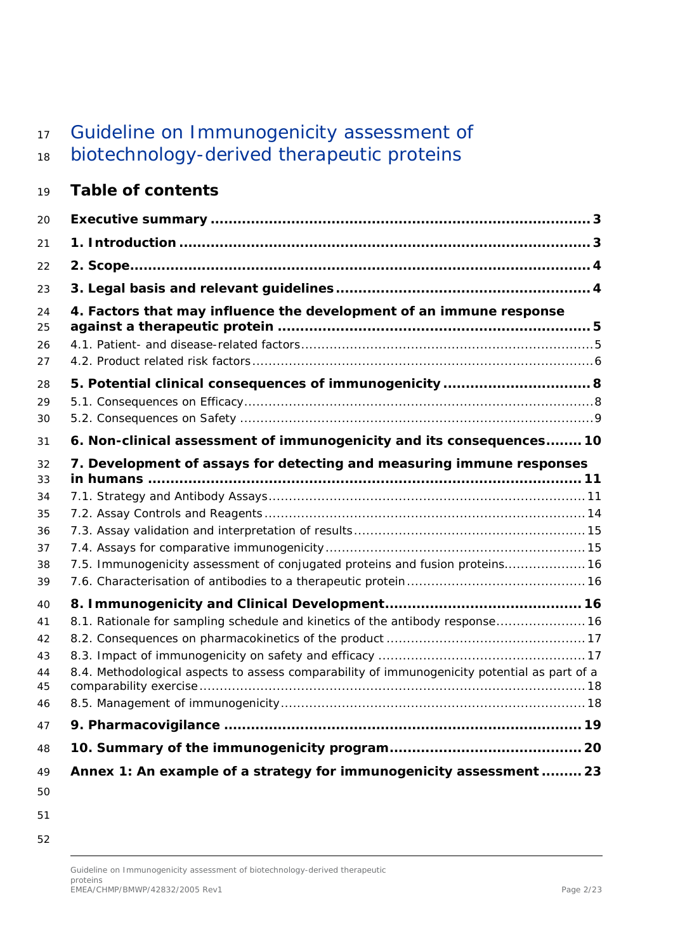# 17 Guideline on Immunogenicity assessment of

# biotechnology-derived therapeutic proteins

# **Table of contents**

| 20                               |                                                                                                                                                                               |  |
|----------------------------------|-------------------------------------------------------------------------------------------------------------------------------------------------------------------------------|--|
| 21                               |                                                                                                                                                                               |  |
| 22                               |                                                                                                                                                                               |  |
| 23                               |                                                                                                                                                                               |  |
| 24<br>25<br>26<br>27             | 4. Factors that may influence the development of an immune response                                                                                                           |  |
| 28<br>29<br>30                   |                                                                                                                                                                               |  |
| 31                               | 6. Non-clinical assessment of immunogenicity and its consequences 10                                                                                                          |  |
| 32<br>33                         | 7. Development of assays for detecting and measuring immune responses                                                                                                         |  |
| 34<br>35<br>36<br>37<br>38<br>39 | 7.5. Immunogenicity assessment of conjugated proteins and fusion proteins 16                                                                                                  |  |
| 40<br>41<br>42<br>43<br>44<br>45 | 8.1. Rationale for sampling schedule and kinetics of the antibody response 16<br>8.4. Methodological aspects to assess comparability of immunogenicity potential as part of a |  |
| 46                               |                                                                                                                                                                               |  |
| 47                               |                                                                                                                                                                               |  |
| 48                               |                                                                                                                                                                               |  |
| 49<br>50                         | Annex 1: An example of a strategy for immunogenicity assessment  23                                                                                                           |  |

- 
-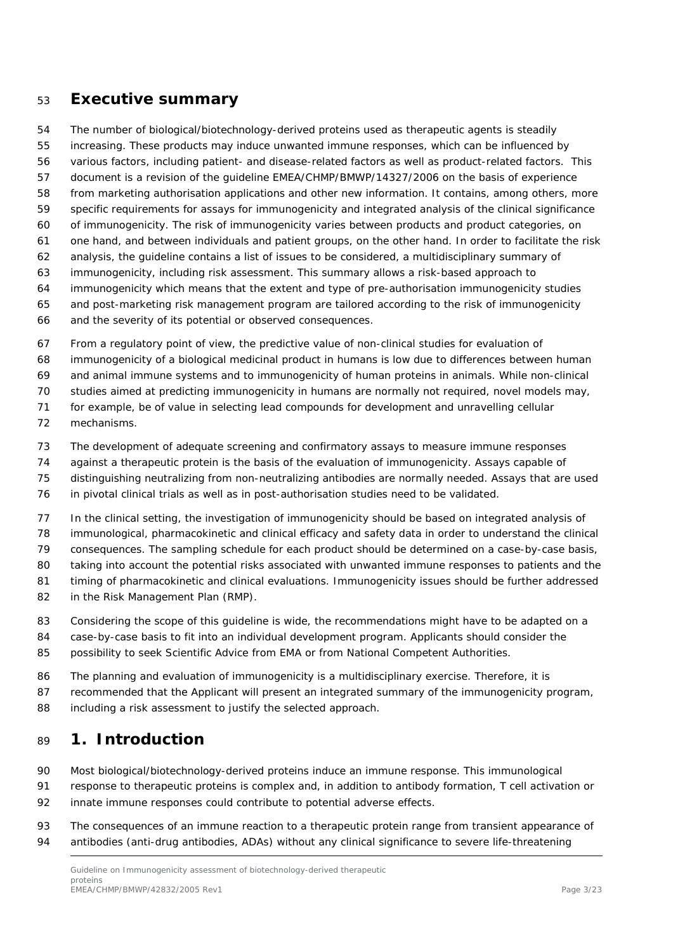### <span id="page-2-0"></span>**Executive summary**

The number of biological/biotechnology-derived proteins used as therapeutic agents is steadily

increasing. These products may induce unwanted immune responses, which can be influenced by

various factors, including patient- and disease-related factors as well as product-related factors. This

document is a revision of the guideline EMEA/CHMP/BMWP/14327/2006 on the basis of experience

from marketing authorisation applications and other new information. It contains, among others, more

specific requirements for assays for immunogenicity and integrated analysis of the clinical significance

of immunogenicity. The risk of immunogenicity varies between products and product categories, on

- one hand, and between individuals and patient groups, on the other hand. In order to facilitate the risk
- analysis, the guideline contains a list of issues to be considered, a multidisciplinary summary of
- immunogenicity, including risk assessment. This summary allows a risk-based approach to
- immunogenicity which means that the extent and type of pre-authorisation immunogenicity studies and post-marketing risk management program are tailored according to the risk of immunogenicity
- and the severity of its potential or observed consequences.

From a regulatory point of view, the predictive value of non-clinical studies for evaluation of

immunogenicity of a biological medicinal product in humans is low due to differences between human

and animal immune systems and to immunogenicity of human proteins in animals. While non-clinical

studies aimed at predicting immunogenicity in humans are normally not required, novel models may,

for example, be of value in selecting lead compounds for development and unravelling cellular

- mechanisms.
- The development of adequate screening and confirmatory assays to measure immune responses
- against a therapeutic protein is the basis of the evaluation of immunogenicity. Assays capable of
- distinguishing neutralizing from non-neutralizing antibodies are normally needed. Assays that are used
- in pivotal clinical trials as well as in post-authorisation studies need to be validated.

In the clinical setting, the investigation of immunogenicity should be based on integrated analysis of

immunological, pharmacokinetic and clinical efficacy and safety data in order to understand the clinical

consequences. The sampling schedule for each product should be determined on a case-by-case basis,

taking into account the potential risks associated with unwanted immune responses to patients and the

timing of pharmacokinetic and clinical evaluations. Immunogenicity issues should be further addressed

- 82 in the Risk Management Plan (RMP).
- 83 Considering the scope of this guideline is wide, the recommendations might have to be adapted on a
- case-by-case basis to fit into an individual development program. Applicants should consider the possibility to seek Scientific Advice from EMA or from National Competent Authorities.
- The planning and evaluation of immunogenicity is a multidisciplinary exercise. Therefore, it is
- 87 recommended that the Applicant will present an integrated summary of the immunogenicity program,
- 88 including a risk assessment to justify the selected approach.

# <span id="page-2-1"></span>**1. Introduction**

Most biological/biotechnology-derived proteins induce an immune response. This immunological

- response to therapeutic proteins is complex and, in addition to antibody formation, T cell activation or innate immune responses could contribute to potential adverse effects.
- 93 The consequences of an immune reaction to a therapeutic protein range from transient appearance of antibodies (anti-drug antibodies, ADAs) without any clinical significance to severe life-threatening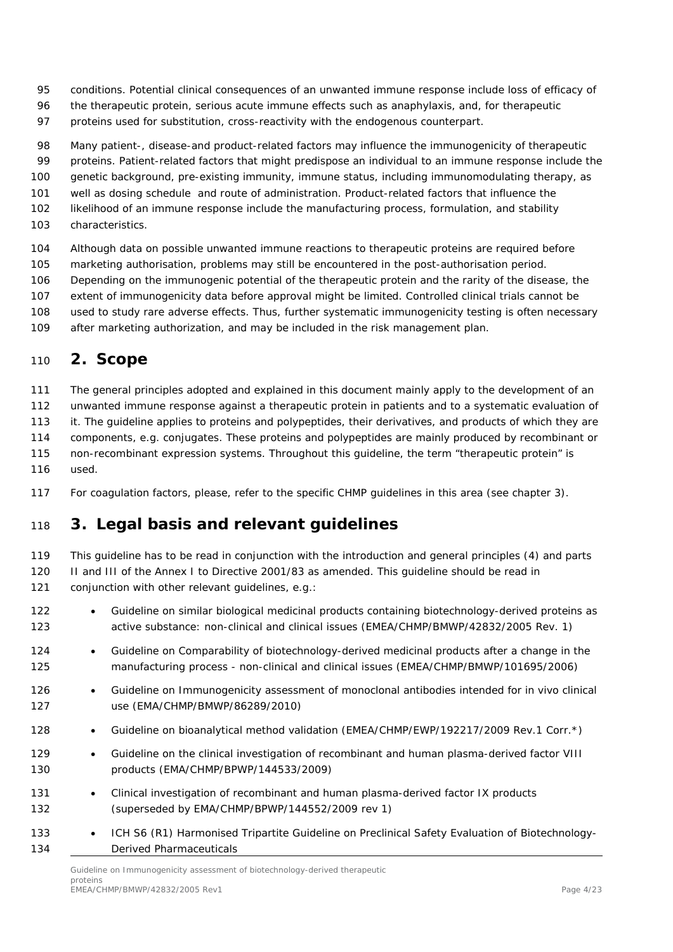- conditions. Potential clinical consequences of an unwanted immune response include loss of efficacy of
- 96 the therapeutic protein, serious acute immune effects such as anaphylaxis, and, for therapeutic
- proteins used for substitution, cross-reactivity with the endogenous counterpart.
- Many patient-, disease-and product-related factors may influence the immunogenicity of therapeutic
- proteins. Patient-related factors that might predispose an individual to an immune response include the
- genetic background, pre-existing immunity, immune status, including immunomodulating therapy, as
- well as dosing schedule and route of administration. Product-related factors that influence the
- likelihood of an immune response include the manufacturing process, formulation, and stability
- characteristics.
- Although data on possible unwanted immune reactions to therapeutic proteins are required before
- marketing authorisation, problems may still be encountered in the post-authorisation period.
- Depending on the immunogenic potential of the therapeutic protein and the rarity of the disease, the
- extent of immunogenicity data before approval might be limited. Controlled clinical trials cannot be
- used to study rare adverse effects. Thus, further systematic immunogenicity testing is often necessary
- after marketing authorization, and may be included in the risk management plan.

# <span id="page-3-0"></span>**2. Scope**

The general principles adopted and explained in this document mainly apply to the development of an

unwanted immune response against a therapeutic protein in patients and to a systematic evaluation of

it. The guideline applies to proteins and polypeptides, their derivatives, and products of which they are

- components, e.g. conjugates. These proteins and polypeptides are mainly produced by recombinant or
- non-recombinant expression systems. Throughout this guideline, the term "therapeutic protein" is
- used.
- For coagulation factors, please, refer to the specific CHMP guidelines in this area (see chapter 3).

# <span id="page-3-1"></span>**3. Legal basis and relevant guidelines**

- This guideline has to be read in conjunction with the introduction and general principles (4) and parts II and III of the Annex I to Directive 2001/83 as amended. This guideline should be read in
- conjunction with other relevant guidelines, e.g.:
- Guideline on similar biological medicinal products containing biotechnology-derived proteins as active substance: non-clinical and clinical issues (EMEA/CHMP/BMWP/42832/2005 Rev. 1)
- Guideline on Comparability of biotechnology-derived medicinal products after a change in the manufacturing process - non-clinical and clinical issues (EMEA/CHMP/BMWP/101695/2006)
- 126 Guideline on Immunogenicity assessment of monoclonal antibodies intended for in vivo clinical use (EMA/CHMP/BMWP/86289/2010)
- 128 Guideline on bioanalytical method validation (EMEA/CHMP/EWP/192217/2009 Rev.1 Corr.\*)
- Guideline on the clinical investigation of recombinant and human plasma-derived factor VIII products (EMA/CHMP/BPWP/144533/2009)
- Clinical investigation of recombinant and human plasma-derived factor IX products (superseded by EMA/CHMP/BPWP/144552/2009 rev 1)
- 133 ICH S6 (R1) Harmonised Tripartite Guideline on Preclinical Safety Evaluation of Biotechnology-Derived Pharmaceuticals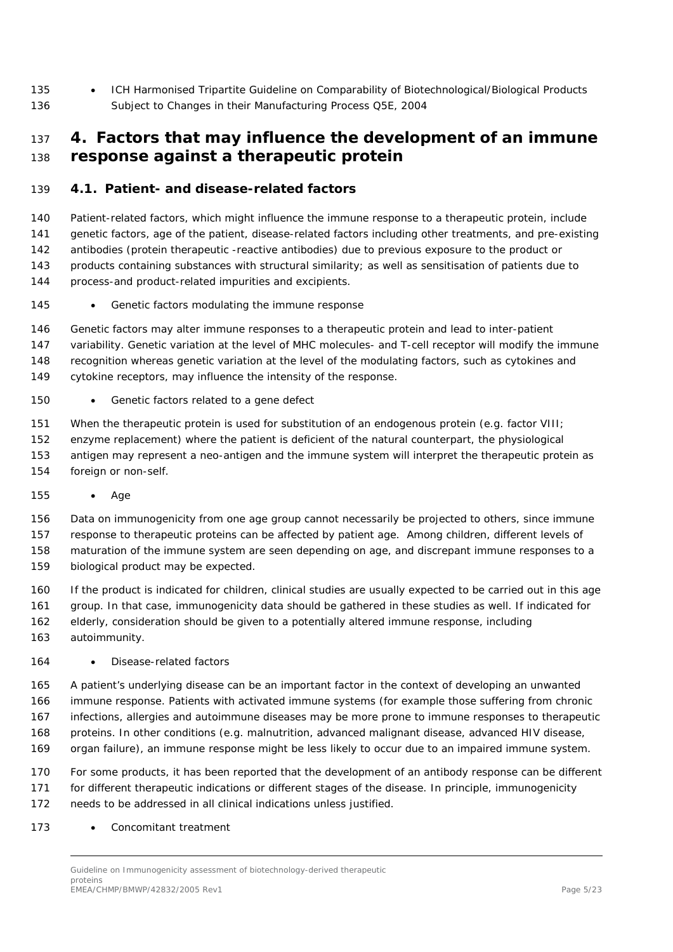135 • ICH Harmonised Tripartite Guideline on Comparability of Biotechnological/Biological Products Subject to Changes in their Manufacturing Process Q5E, 2004

## <span id="page-4-0"></span> **4. Factors that may influence the development of an immune response against a therapeutic protein**

### <span id="page-4-1"></span>*4.1. Patient- and disease-related factors*

 Patient-related factors, which might influence the immune response to a therapeutic protein, include genetic factors, age of the patient, disease-related factors including other treatments, and pre-existing antibodies (protein therapeutic -reactive antibodies) due to previous exposure to the product or 143 products containing substances with structural similarity; as well as sensitisation of patients due to process-and product-related impurities and excipients.

• *Genetic factors modulating the immune response*

 Genetic factors may alter immune responses to a therapeutic protein and lead to inter-patient variability. Genetic variation at the level of MHC molecules- and T-cell receptor will modify the immune recognition whereas genetic variation at the level of the modulating factors, such as cytokines and cytokine receptors, may influence the intensity of the response.

#### • *Genetic factors related to a gene defect*

 When the therapeutic protein is used for substitution of an endogenous protein (e.g. factor VIII; enzyme replacement) where the patient is deficient of the natural counterpart, the physiological antigen may represent a neo-antigen and the immune system will interpret the therapeutic protein as foreign or non-self.

• *Age*

Data on immunogenicity from one age group cannot necessarily be projected to others, since immune

 response to therapeutic proteins can be affected by patient age. Among children, different levels of maturation of the immune system are seen depending on age, and discrepant immune responses to a

biological product may be expected.

 If the product is indicated for children, clinical studies are usually expected to be carried out in this age group. In that case, immunogenicity data should be gathered in these studies as well. If indicated for elderly, consideration should be given to a potentially altered immune response, including

autoimmunity.

#### • *Disease-related factors*

 A patient's underlying disease can be an important factor in the context of developing an unwanted immune response. Patients with activated immune systems (for example those suffering from chronic infections, allergies and autoimmune diseases may be more prone to immune responses to therapeutic proteins. In other conditions (e.g. malnutrition, advanced malignant disease, advanced HIV disease, organ failure), an immune response might be less likely to occur due to an impaired immune system.

 For some products, it has been reported that the development of an antibody response can be different for different therapeutic indications or different stages of the disease. In principle, immunogenicity needs to be addressed in all clinical indications unless justified.

• *Concomitant treatment*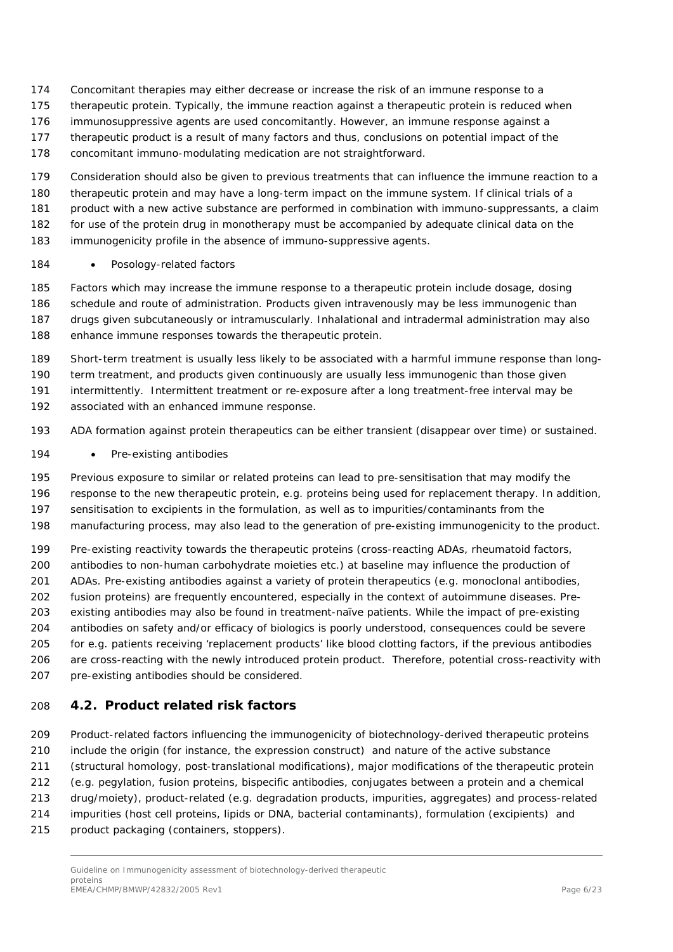- Concomitant therapies may either decrease or increase the risk of an immune response to a
- therapeutic protein. Typically, the immune reaction against a therapeutic protein is reduced when
- immunosuppressive agents are used concomitantly. However, an immune response against a
- therapeutic product is a result of many factors and thus, conclusions on potential impact of the
- concomitant immuno-modulating medication are not straightforward.
- Consideration should also be given to previous treatments that can influence the immune reaction to a
- therapeutic protein and may have a long-term impact on the immune system. If clinical trials of a
- product with a new active substance are performed in combination with immuno-suppressants, a claim
- for use of the protein drug in monotherapy must be accompanied by adequate clinical data on the
- immunogenicity profile in the absence of immuno-suppressive agents.

#### • *Posology-related factors*

- Factors which may increase the immune response to a therapeutic protein include dosage, dosing schedule and route of administration. Products given intravenously may be less immunogenic than drugs given subcutaneously or intramuscularly. Inhalational and intradermal administration may also enhance immune responses towards the therapeutic protein.
- Short-term treatment is usually less likely to be associated with a harmful immune response than long- term treatment, and products given continuously are usually less immunogenic than those given intermittently. Intermittent treatment or re-exposure after a long treatment-free interval may be
- associated with an enhanced immune response.
- ADA formation against protein therapeutics can be either transient (disappear over time) or sustained.
- *Pre-existing antibodies*
- Previous exposure to similar or related proteins can lead to pre-sensitisation that may modify the
- response to the new therapeutic protein, e.g. proteins being used for replacement therapy. In addition, sensitisation to excipients in the formulation, as well as to impurities/contaminants from the
- manufacturing process, may also lead to the generation of pre-existing immunogenicity to the product.
- Pre-existing reactivity towards the therapeutic proteins (cross-reacting ADAs, rheumatoid factors,
- antibodies to non-human carbohydrate moieties etc.) at baseline may influence the production of
- ADAs. Pre-existing antibodies against a variety of protein therapeutics (e.g. monoclonal antibodies,
- fusion proteins) are frequently encountered, especially in the context of autoimmune diseases. Pre-
- existing antibodies may also be found in treatment-naïve patients. While the impact of pre-existing
- antibodies on safety and/or efficacy of biologics is poorly understood, consequences could be severe for e.g. patients receiving 'replacement products' like blood clotting factors, if the previous antibodies are cross-reacting with the newly introduced protein product. Therefore, potential cross-reactivity with
- 207 pre-existing antibodies should be considered.

### <span id="page-5-0"></span>*4.2. Product related risk factors*

- Product-related factors influencing the immunogenicity of biotechnology-derived therapeutic proteins include the origin (for instance, the expression construct) and nature of the active substance (structural homology, post-translational modifications), major modifications of the therapeutic protein (e.g. pegylation, fusion proteins, bispecific antibodies, conjugates between a protein and a chemical
- drug/moiety), product-related (e.g. degradation products, impurities, aggregates) and process-related
- impurities (host cell proteins, lipids or DNA, bacterial contaminants), formulation (excipients) and
- product packaging (containers, stoppers).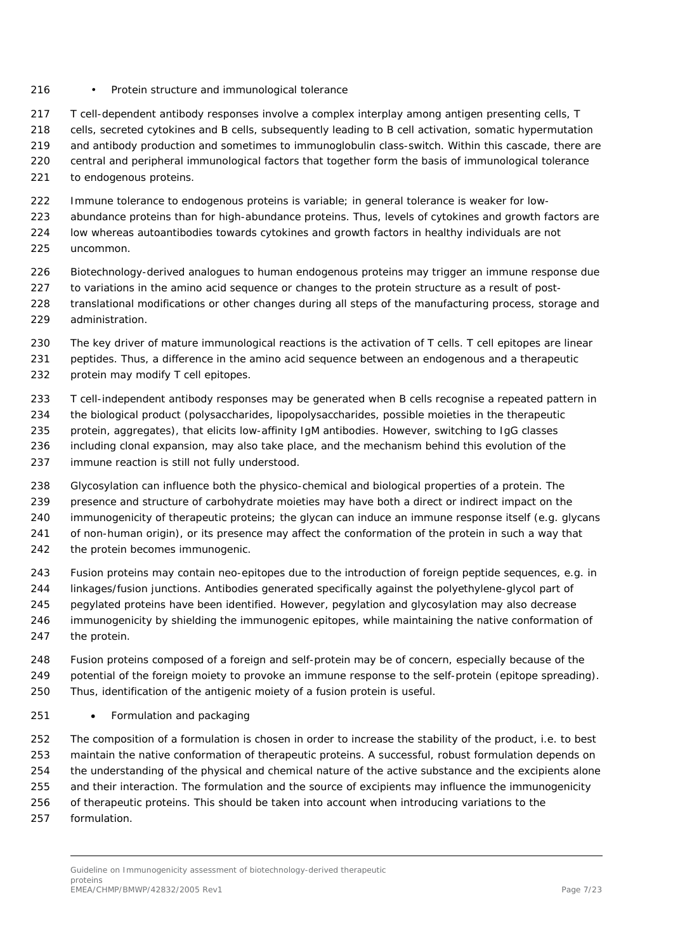#### • *Protein structure and immunological tolerance*

T cell-dependent antibody responses involve a complex interplay among antigen presenting cells, T

- cells, secreted cytokines and B cells, subsequently leading to B cell activation, somatic hypermutation and antibody production and sometimes to immunoglobulin class-switch. Within this cascade, there are
- central and peripheral immunological factors that together form the basis of immunological tolerance
- to endogenous proteins.
- Immune tolerance to endogenous proteins is variable; in general tolerance is weaker for low-
- abundance proteins than for high-abundance proteins. Thus, levels of cytokines and growth factors are
- low whereas autoantibodies towards cytokines and growth factors in healthy individuals are not uncommon.
- Biotechnology-derived analogues to human endogenous proteins may trigger an immune response due
- 227 to variations in the amino acid sequence or changes to the protein structure as a result of post-
- translational modifications or other changes during all steps of the manufacturing process, storage and administration.
- 230 The key driver of mature immunological reactions is the activation of T cells. T cell epitopes are linear peptides. Thus, a difference in the amino acid sequence between an endogenous and a therapeutic protein may modify T cell epitopes.
- T cell-independent antibody responses may be generated when B cells recognise a repeated pattern in
- the biological product (polysaccharides, lipopolysaccharides, possible moieties in the therapeutic
- protein, aggregates), that elicits low-affinity IgM antibodies. However, switching to IgG classes
- including clonal expansion, may also take place, and the mechanism behind this evolution of the immune reaction is still not fully understood.
- Glycosylation can influence both the physico-chemical and biological properties of a protein. The presence and structure of carbohydrate moieties may have both a direct or indirect impact on the immunogenicity of therapeutic proteins; the glycan can induce an immune response itself (e.g. glycans of non-human origin), or its presence may affect the conformation of the protein in such a way that 242 the protein becomes immunogenic.
- Fusion proteins may contain neo-epitopes due to the introduction of foreign peptide sequences, e.g. in linkages/fusion junctions. Antibodies generated specifically against the polyethylene-glycol part of
- pegylated proteins have been identified. However, pegylation and glycosylation may also decrease
- immunogenicity by shielding the immunogenic epitopes, while maintaining the native conformation of
- the protein.
- Fusion proteins composed of a foreign and self-protein may be of concern, especially because of the potential of the foreign moiety to provoke an immune response to the self-protein (epitope spreading). Thus, identification of the antigenic moiety of a fusion protein is useful.

#### • *Formulation and packaging*

 The composition of a formulation is chosen in order to increase the stability of the product, i.e. to best maintain the native conformation of therapeutic proteins. A successful, robust formulation depends on the understanding of the physical and chemical nature of the active substance and the excipients alone and their interaction. The formulation and the source of excipients may influence the immunogenicity of therapeutic proteins. This should be taken into account when introducing variations to the formulation.

Guideline on Immunogenicity assessment of biotechnology-derived therapeutic proteins .<br>EMEA/CHMP/BMWP/42832/2005 Rev1 Page 7/23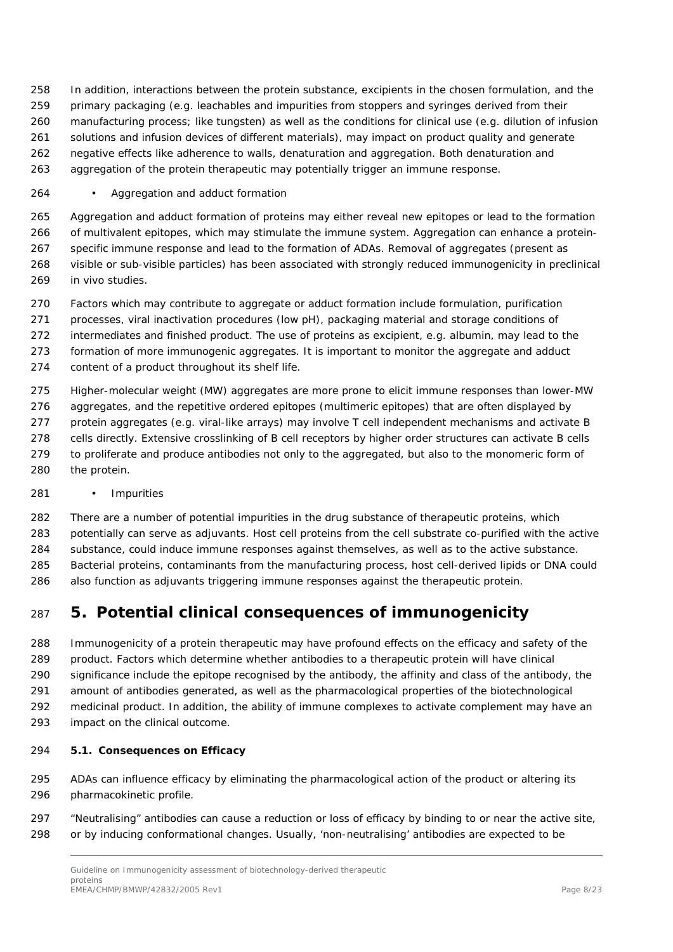In addition, interactions between the protein substance, excipients in the chosen formulation, and the primary packaging (e.g. leachables and impurities from stoppers and syringes derived from their manufacturing process; like tungsten) as well as the conditions for clinical use (e.g. dilution of infusion solutions and infusion devices of different materials), may impact on product quality and generate negative effects like adherence to walls, denaturation and aggregation. Both denaturation and aggregation of the protein therapeutic may potentially trigger an immune response.

#### • *Aggregation and adduct formation*

 Aggregation and adduct formation of proteins may either reveal new epitopes or lead to the formation of multivalent epitopes, which may stimulate the immune system. Aggregation can enhance a protein- specific immune response and lead to the formation of ADAs. Removal of aggregates (present as visible or sub-visible particles) has been associated with strongly reduced immunogenicity in preclinical in vivo studies.

 Factors which may contribute to aggregate or adduct formation include formulation, purification processes, viral inactivation procedures (low pH), packaging material and storage conditions of intermediates and finished product. The use of proteins as excipient, e.g. albumin, may lead to the formation of more immunogenic aggregates. It is important to monitor the aggregate and adduct

content of a product throughout its shelf life.

Higher-molecular weight (MW) aggregates are more prone to elicit immune responses than lower-MW

aggregates, and the repetitive ordered epitopes (multimeric epitopes) that are often displayed by

- protein aggregates (e.g. viral-like arrays) may involve T cell independent mechanisms and activate B cells directly. Extensive crosslinking of B cell receptors by higher order structures can activate B cells
- to proliferate and produce antibodies not only to the aggregated, but also to the monomeric form of the protein.

#### • *Impurities*

 There are a number of potential impurities in the drug substance of therapeutic proteins, which potentially can serve as adjuvants. Host cell proteins from the cell substrate co-purified with the active substance, could induce immune responses against themselves, as well as to the active substance. Bacterial proteins, contaminants from the manufacturing process, host cell-derived lipids or DNA could also function as adjuvants triggering immune responses against the therapeutic protein.

# <span id="page-7-0"></span>**5. Potential clinical consequences of immunogenicity**

 Immunogenicity of a protein therapeutic may have profound effects on the efficacy and safety of the product. Factors which determine whether antibodies to a therapeutic protein will have clinical significance include the epitope recognised by the antibody, the affinity and class of the antibody, the amount of antibodies generated, as well as the pharmacological properties of the biotechnological medicinal product. In addition, the ability of immune complexes to activate complement may have an impact on the clinical outcome.

#### <span id="page-7-1"></span>*5.1. Consequences on Efficacy*

 ADAs can influence efficacy by eliminating the pharmacological action of the product or altering its pharmacokinetic profile.

 "Neutralising" antibodies can cause a reduction or loss of efficacy by binding to or near the active site, or by inducing conformational changes. Usually, 'non-neutralising' antibodies are expected to be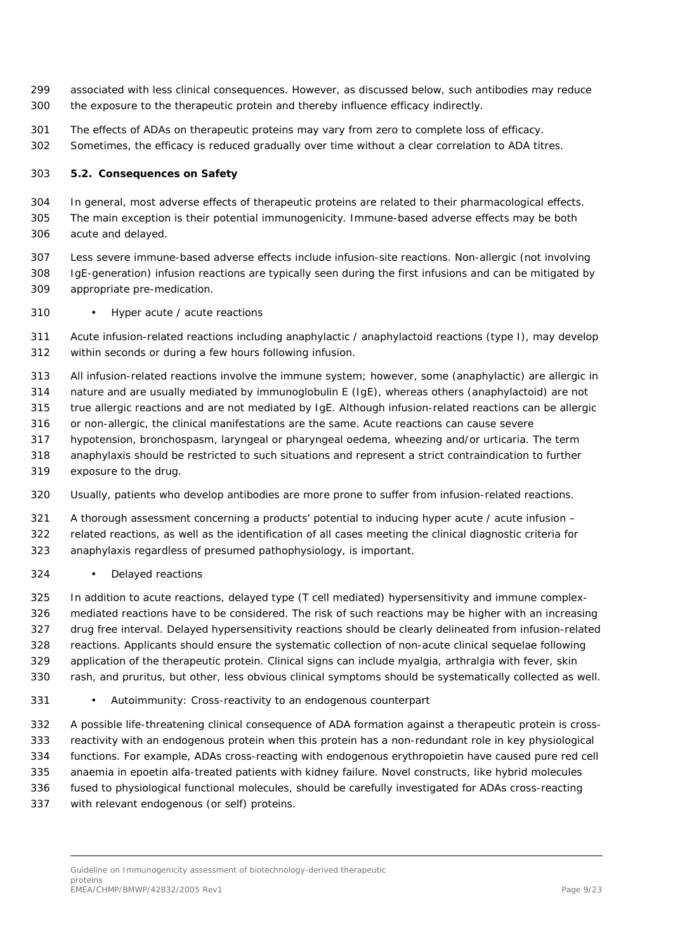- associated with less clinical consequences. However, as discussed below, such antibodies may reduce the exposure to the therapeutic protein and thereby influence efficacy indirectly.
- The effects of ADAs on therapeutic proteins may vary from zero to complete loss of efficacy.
- Sometimes, the efficacy is reduced gradually over time without a clear correlation to ADA titres.

#### <span id="page-8-0"></span>*5.2. Consequences on Safety*

 In general, most adverse effects of therapeutic proteins are related to their pharmacological effects. The main exception is their potential immunogenicity. Immune-based adverse effects may be both acute and delayed.

 Less severe immune-based adverse effects include infusion-site reactions. Non-allergic (not involving IgE-generation) infusion reactions are typically seen during the first infusions and can be mitigated by appropriate pre-medication.

#### • *Hyper acute / acute reactions*

 Acute infusion-related reactions including anaphylactic / anaphylactoid reactions (type I), may develop within seconds or during a few hours following infusion.

All infusion-related reactions involve the immune system; however, some (anaphylactic) are allergic in

nature and are usually mediated by immunoglobulin E (IgE), whereas others (anaphylactoid) are not

true allergic reactions and are not mediated by IgE. Although infusion-related reactions can be allergic

or non-allergic, the clinical manifestations are the same. Acute reactions can cause severe

- hypotension, bronchospasm, laryngeal or pharyngeal oedema, wheezing and/or urticaria. The term
- anaphylaxis should be restricted to such situations and represent a strict contraindication to further
- exposure to the drug.
- Usually, patients who develop antibodies are more prone to suffer from infusion-related reactions.
- A thorough assessment concerning a products' potential to inducing hyper acute / acute infusion –
- related reactions, as well as the identification of all cases meeting the clinical diagnostic criteria for
- anaphylaxis regardless of presumed pathophysiology, is important.

#### • *Delayed reactions*

 In addition to acute reactions, delayed type (T cell mediated) hypersensitivity and immune complex- mediated reactions have to be considered. The risk of such reactions may be higher with an increasing drug free interval. Delayed hypersensitivity reactions should be clearly delineated from infusion-related reactions. Applicants should ensure the systematic collection of non-acute clinical sequelae following application of the therapeutic protein. Clinical signs can include myalgia, arthralgia with fever, skin rash, and pruritus, but other, less obvious clinical symptoms should be systematically collected as well.

• *Autoimmunity: Cross-reactivity to an endogenous counterpart*

 A possible life-threatening clinical consequence of ADA formation against a therapeutic protein is cross- reactivity with an endogenous protein when this protein has a non-redundant role in key physiological functions. For example, ADAs cross-reacting with endogenous erythropoietin have caused pure red cell anaemia in epoetin alfa-treated patients with kidney failure. Novel constructs, like hybrid molecules fused to physiological functional molecules, should be carefully investigated for ADAs cross-reacting with relevant endogenous (or self) proteins.

Guideline on Immunogenicity assessment of biotechnology-derived therapeutic proteins .<br>EMEA/CHMP/BMWP/42832/2005 Rev1 Page 9/23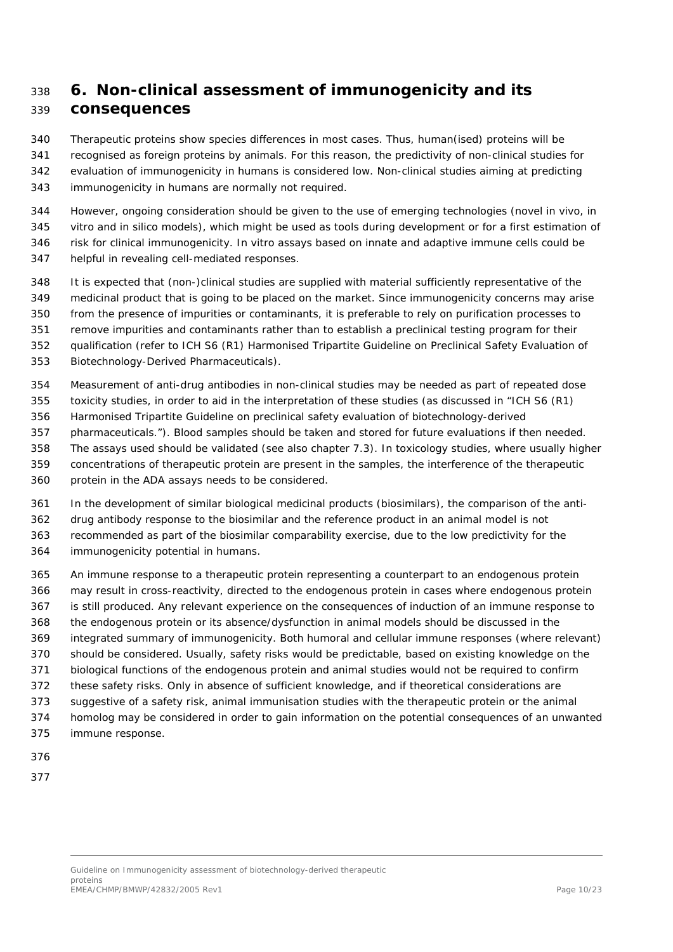# <span id="page-9-0"></span> **6. Non-clinical assessment of immunogenicity and its consequences**

Therapeutic proteins show species differences in most cases. Thus, human(ised) proteins will be

recognised as foreign proteins by animals. For this reason, the predictivity of non-clinical studies for

 evaluation of immunogenicity in humans is considered low. Non-clinical studies aiming at predicting immunogenicity in humans are normally not required.

- However, ongoing consideration should be given to the use of emerging technologies (novel *in vivo*, *in vitro* and *in silico* models), which might be used as tools during development or for a first estimation of risk for clinical immunogenicity. *In vitro* assays based on innate and adaptive immune cells could be
- helpful in revealing cell-mediated responses.
- It is expected that (non-)clinical studies are supplied with material sufficiently representative of the
- medicinal product that is going to be placed on the market. Since immunogenicity concerns may arise
- from the presence of impurities or contaminants, it is preferable to rely on purification processes to
- remove impurities and contaminants rather than to establish a preclinical testing program for their
- qualification (refer to ICH S6 (R1) Harmonised Tripartite Guideline on Preclinical Safety Evaluation of
- Biotechnology-Derived Pharmaceuticals).
- Measurement of anti-drug antibodies in non-clinical studies may be needed as part of repeated dose
- toxicity studies, in order to aid in the interpretation of these studies (as discussed in "ICH S6 (R1)
- Harmonised Tripartite Guideline on preclinical safety evaluation of biotechnology-derived
- pharmaceuticals."). Blood samples should be taken and stored for future evaluations if then needed.
- The assays used should be validated (see also chapter 7.3). In toxicology studies, where usually higher concentrations of therapeutic protein are present in the samples, the interference of the therapeutic
- protein in the ADA assays needs to be considered.
- In the development of similar biological medicinal products (biosimilars), the comparison of the anti-
- drug antibody response to the biosimilar and the reference product in an animal model is not
- recommended as part of the biosimilar comparability exercise, due to the low predictivity for the
- immunogenicity potential in humans.
- An immune response to a therapeutic protein representing a counterpart to an endogenous protein may result in cross-reactivity, directed to the endogenous protein in cases where endogenous protein is still produced. Any relevant experience on the consequences of induction of an immune response to the endogenous protein or its absence/dysfunction in animal models should be discussed in the integrated summary of immunogenicity. Both humoral and cellular immune responses (where relevant) should be considered. Usually, safety risks would be predictable, based on existing knowledge on the biological functions of the endogenous protein and animal studies would not be required to confirm these safety risks. Only in absence of sufficient knowledge, and if theoretical considerations are suggestive of a safety risk, animal immunisation studies with the therapeutic protein or the animal homolog may be considered in order to gain information on the potential consequences of an unwanted immune response.
- 
-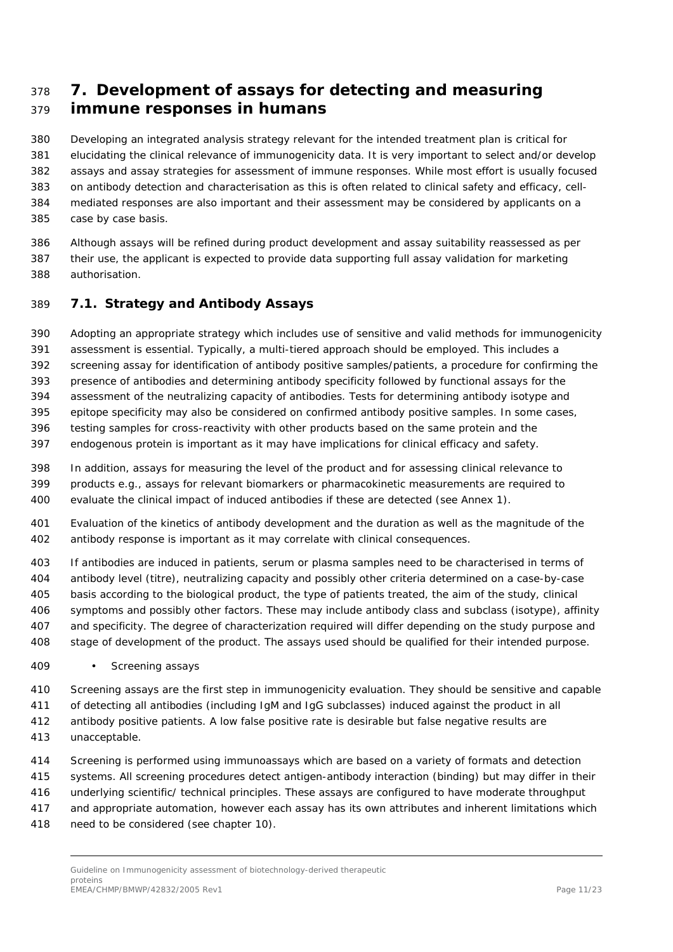# <span id="page-10-0"></span> **7. Development of assays for detecting and measuring immune responses in humans**

 Developing an integrated analysis strategy relevant for the intended treatment plan is critical for elucidating the clinical relevance of immunogenicity data. It is very important to select and/or develop assays and assay strategies for assessment of immune responses. While most effort is usually focused on antibody detection and characterisation as this is often related to clinical safety and efficacy, cell- mediated responses are also important and their assessment may be considered by applicants on a case by case basis.

 Although assays will be refined during product development and assay suitability reassessed as per their use, the applicant is expected to provide data supporting full assay validation for marketing authorisation.

### <span id="page-10-1"></span>*7.1. Strategy and Antibody Assays*

Adopting an appropriate strategy which includes use of sensitive and valid methods for immunogenicity

assessment is essential. Typically, a multi-tiered approach should be employed. This includes a

screening assay for identification of antibody positive samples/patients, a procedure for confirming the

presence of antibodies and determining antibody specificity followed by functional assays for the

assessment of the neutralizing capacity of antibodies. Tests for determining antibody isotype and

epitope specificity may also be considered on confirmed antibody positive samples. In some cases,

testing samples for cross-reactivity with other products based on the same protein and the

endogenous protein is important as it may have implications for clinical efficacy and safety.

 In addition, assays for measuring the level of the product and for assessing clinical relevance to products e.g., assays for relevant biomarkers or pharmacokinetic measurements are required to evaluate the clinical impact of induced antibodies if these are detected (see Annex 1).

 Evaluation of the kinetics of antibody development and the duration as well as the magnitude of the antibody response is important as it may correlate with clinical consequences.

 If antibodies are induced in patients, serum or plasma samples need to be characterised in terms of antibody level (titre), neutralizing capacity and possibly other criteria determined on a case-by-case basis according to the biological product, the type of patients treated, the aim of the study, clinical symptoms and possibly other factors. These may include antibody class and subclass (isotype), affinity and specificity. The degree of characterization required will differ depending on the study purpose and stage of development of the product. The assays used should be qualified for their intended purpose.

• *Screening assays*

Screening assays are the first step in immunogenicity evaluation. They should be sensitive and capable

of detecting all antibodies (including IgM and IgG subclasses) induced against the product in all

 antibody positive patients. A low false positive rate is desirable but false negative results are unacceptable.

- 
- Screening is performed using immunoassays which are based on a variety of formats and detection
- systems. All screening procedures detect antigen-antibody interaction (binding) but may differ in their
- underlying scientific/ technical principles. These assays are configured to have moderate throughput
- and appropriate automation, however each assay has its own attributes and inherent limitations which
- 418 need to be considered (see chapter 10).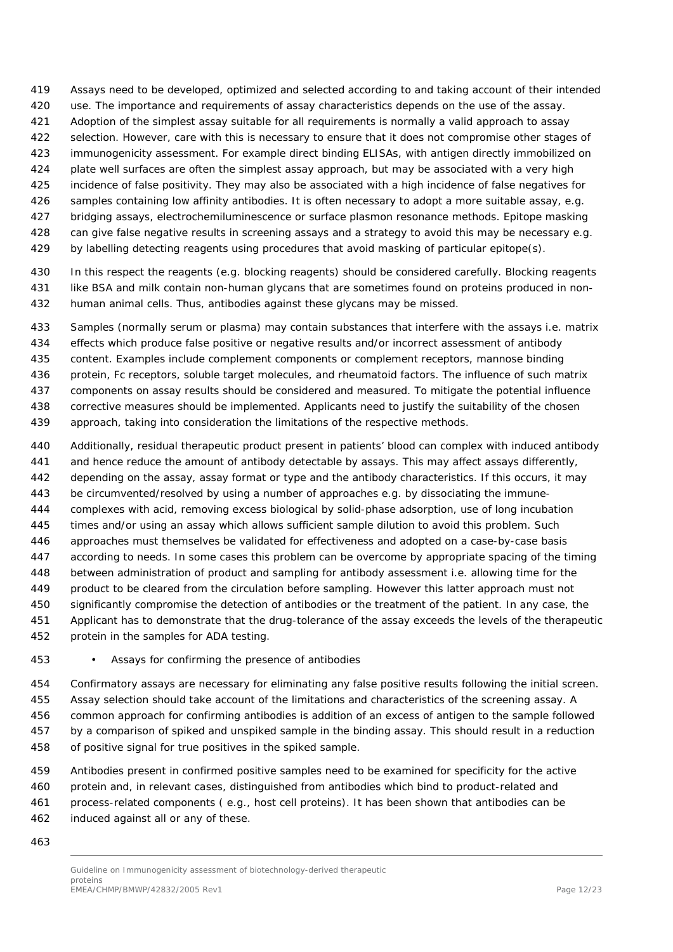- Assays need to be developed, optimized and selected according to and taking account of their intended
- use. The importance and requirements of assay characteristics depends on the use of the assay.
- Adoption of the simplest assay suitable for all requirements is normally a valid approach to assay
- 422 selection. However, care with this is necessary to ensure that it does not compromise other stages of
- immunogenicity assessment. For example direct binding ELISAs, with antigen directly immobilized on
- 424 plate well surfaces are often the simplest assay approach, but may be associated with a very high
- incidence of false positivity. They may also be associated with a high incidence of false negatives for
- samples containing low affinity antibodies. It is often necessary to adopt a more suitable assay, e.g.
- 427 bridging assays, electrochemiluminescence or surface plasmon resonance methods. Epitope masking
- 428 can give false negative results in screening assays and a strategy to avoid this may be necessary e.g.
- 429 by labelling detecting reagents using procedures that avoid masking of particular epitope(s).
- In this respect the reagents (e.g. blocking reagents) should be considered carefully. Blocking reagents 431 like BSA and milk contain non-human glycans that are sometimes found on proteins produced in non-human animal cells. Thus, antibodies against these glycans may be missed.
- Samples (normally serum or plasma) may contain substances that interfere with the assays i.e. matrix effects which produce false positive or negative results and/or incorrect assessment of antibody content. Examples include complement components or complement receptors, mannose binding protein, Fc receptors, soluble target molecules, and rheumatoid factors. The influence of such matrix components on assay results should be considered and measured. To mitigate the potential influence corrective measures should be implemented. Applicants need to justify the suitability of the chosen
- approach, taking into consideration the limitations of the respective methods.
- Additionally, residual therapeutic product present in patients' blood can complex with induced antibody and hence reduce the amount of antibody detectable by assays. This may affect assays differently, depending on the assay, assay format or type and the antibody characteristics. If this occurs, it may 443 be circumvented/resolved by using a number of approaches e.g. by dissociating the immune- complexes with acid, removing excess biological by solid-phase adsorption, use of long incubation times and/or using an assay which allows sufficient sample dilution to avoid this problem. Such approaches must themselves be validated for effectiveness and adopted on a case-by-case basis according to needs. In some cases this problem can be overcome by appropriate spacing of the timing between administration of product and sampling for antibody assessment i.e. allowing time for the product to be cleared from the circulation before sampling. However this latter approach must not significantly compromise the detection of antibodies or the treatment of the patient. In any case, the Applicant has to demonstrate that the drug-tolerance of the assay exceeds the levels of the therapeutic protein in the samples for ADA testing.
- 
- *Assays for confirming the presence of antibodies*
- Confirmatory assays are necessary for eliminating any false positive results following the initial screen. Assay selection should take account of the limitations and characteristics of the screening assay. A common approach for confirming antibodies is addition of an excess of antigen to the sample followed by a comparison of spiked and unspiked sample in the binding assay. This should result in a reduction of positive signal for true positives in the spiked sample.
- Antibodies present in confirmed positive samples need to be examined for specificity for the active protein and, in relevant cases, distinguished from antibodies which bind to product-related and process-related components ( e.g., host cell proteins). It has been shown that antibodies can be induced against all or any of these.
- 

Guideline on Immunogenicity assessment of biotechnology-derived therapeutic proteins .<br>EMEA/CHMP/BMWP/42832/2005 Rev1 Page 12/23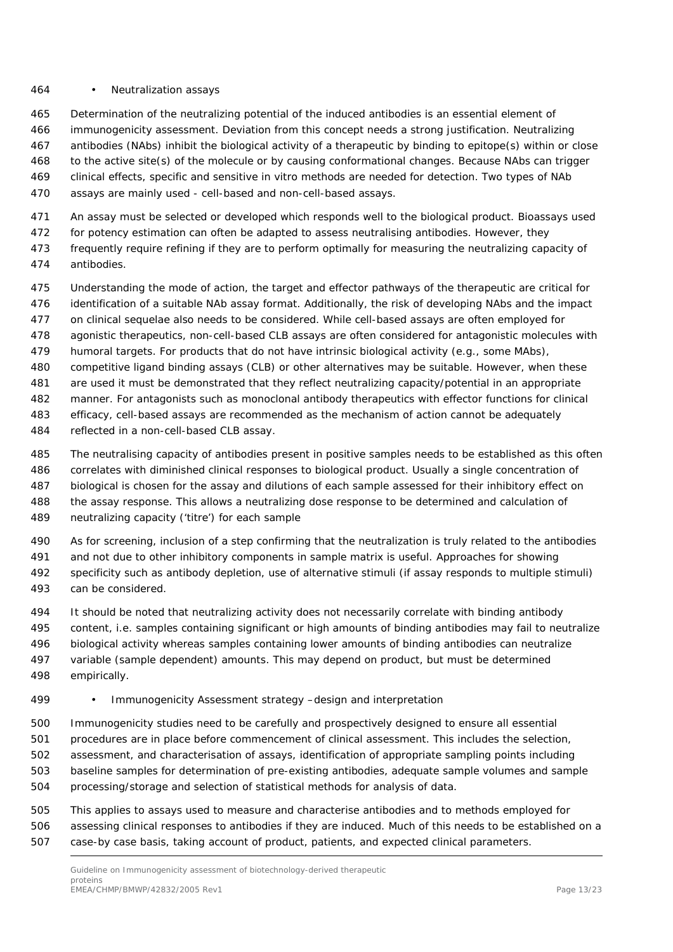#### • *Neutralization assays*

 Determination of the neutralizing potential of the induced antibodies is an essential element of immunogenicity assessment. Deviation from this concept needs a strong justification. Neutralizing antibodies (NAbs) inhibit the biological activity of a therapeutic by binding to epitope(s) within or close

to the active site(s) of the molecule or by causing conformational changes. Because NAbs can trigger

- clinical effects, specific and sensitive *in vitro* methods are needed for detection. Two types of NAb
- assays are mainly used cell-based and non-cell-based assays.
- 471 An assay must be selected or developed which responds well to the biological product. Bioassays used
- for potency estimation can often be adapted to assess neutralising antibodies. However, they
- frequently require refining if they are to perform optimally for measuring the neutralizing capacity of antibodies.
- Understanding the mode of action, the target and effector pathways of the therapeutic are critical for identification of a suitable NAb assay format. Additionally, the risk of developing NAbs and the impact on clinical sequelae also needs to be considered. While cell-based assays are often employed for agonistic therapeutics, non-cell-based CLB assays are often considered for antagonistic molecules with
- humoral targets. For products that do not have intrinsic biological activity (e.g., some MAbs),
- competitive ligand binding assays (CLB) or other alternatives may be suitable. However, when these
- are used it must be demonstrated that they reflect neutralizing capacity/potential in an appropriate manner. For antagonists such as monoclonal antibody therapeutics with effector functions for clinical
- efficacy, cell-based assays are recommended as the mechanism of action cannot be adequately
- reflected in a non-cell-based CLB assay.
- The neutralising capacity of antibodies present in positive samples needs to be established as this often correlates with diminished clinical responses to biological product. Usually a single concentration of biological is chosen for the assay and dilutions of each sample assessed for their inhibitory effect on the assay response. This allows a neutralizing dose response to be determined and calculation of neutralizing capacity ('titre') for each sample
- As for screening, inclusion of a step confirming that the neutralization is truly related to the antibodies and not due to other inhibitory components in sample matrix is useful. Approaches for showing specificity such as antibody depletion, use of alternative stimuli (if assay responds to multiple stimuli) can be considered.
- It should be noted that neutralizing activity does not necessarily correlate with binding antibody content, i.e. samples containing significant or high amounts of binding antibodies may fail to neutralize biological activity whereas samples containing lower amounts of binding antibodies can neutralize variable (sample dependent) amounts. This may depend on product, but must be determined empirically.
- *Immunogenicity Assessment strategy –design and interpretation*
- Immunogenicity studies need to be carefully and prospectively designed to ensure all essential procedures are in place before commencement of clinical assessment. This includes the selection, assessment, and characterisation of assays, identification of appropriate sampling points including baseline samples for determination of pre-existing antibodies, adequate sample volumes and sample processing/storage and selection of statistical methods for analysis of data.
- This applies to assays used to measure and characterise antibodies and to methods employed for assessing clinical responses to antibodies if they are induced. Much of this needs to be established on a case-by case basis, taking account of product, patients, and expected clinical parameters.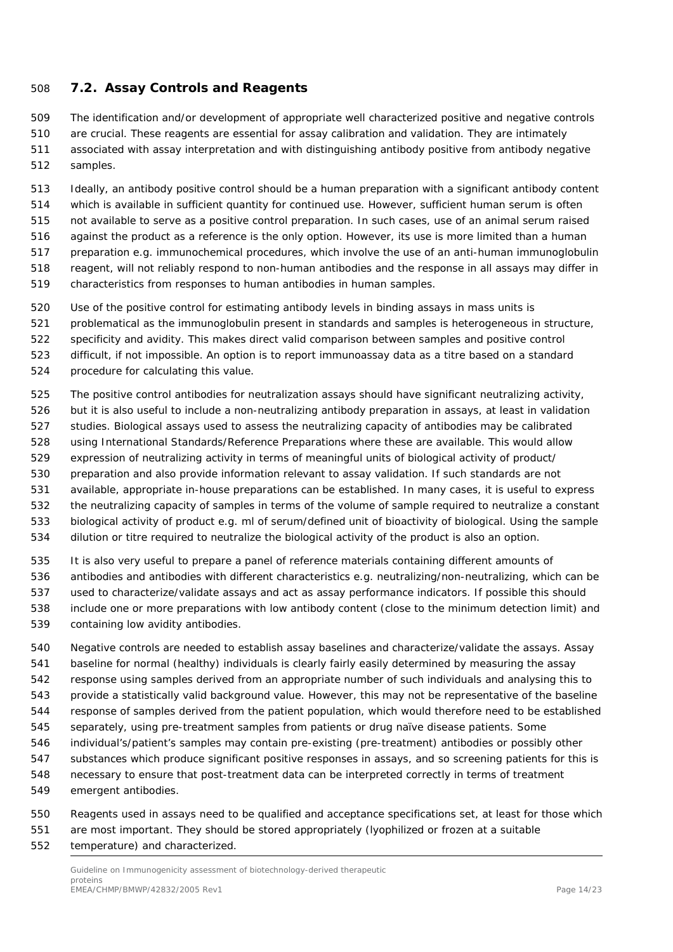### <span id="page-13-0"></span>*7.2. Assay Controls and Reagents*

 The identification and/or development of appropriate well characterized positive and negative controls are crucial. These reagents are essential for assay calibration and validation. They are intimately

- associated with assay interpretation and with distinguishing antibody positive from antibody negative samples.
- Ideally, an antibody positive control should be a human preparation with a significant antibody content which is available in sufficient quantity for continued use. However, sufficient human serum is often not available to serve as a positive control preparation. In such cases, use of an animal serum raised against the product as a reference is the only option. However, its use is more limited than a human preparation e.g. immunochemical procedures, which involve the use of an anti-human immunoglobulin reagent, will not reliably respond to non-human antibodies and the response in all assays may differ in characteristics from responses to human antibodies in human samples.
- 
- Use of the positive control for estimating antibody levels in binding assays in mass units is
- problematical as the immunoglobulin present in standards and samples is heterogeneous in structure,
- specificity and avidity. This makes direct valid comparison between samples and positive control
- difficult, if not impossible. An option is to report immunoassay data as a titre based on a standard
- procedure for calculating this value.
- The positive control antibodies for neutralization assays should have significant neutralizing activity,
- but it is also useful to include a non-neutralizing antibody preparation in assays, at least in validation
- studies. Biological assays used to assess the neutralizing capacity of antibodies may be calibrated
- using International Standards/Reference Preparations where these are available. This would allow
- expression of neutralizing activity in terms of meaningful units of biological activity of product/
- preparation and also provide information relevant to assay validation. If such standards are not
- available, appropriate in-house preparations can be established. In many cases, it is useful to express
- the neutralizing capacity of samples in terms of the volume of sample required to neutralize a constant
- biological activity of product e.g. ml of serum/defined unit of bioactivity of biological. Using the sample
- dilution or titre required to neutralize the biological activity of the product is also an option.
- It is also very useful to prepare a panel of reference materials containing different amounts of
- antibodies and antibodies with different characteristics e.g. neutralizing/non-neutralizing, which can be used to characterize/validate assays and act as assay performance indicators. If possible this should
- include one or more preparations with low antibody content (close to the minimum detection limit) and
- containing low avidity antibodies.
- Negative controls are needed to establish assay baselines and characterize/validate the assays. Assay baseline for normal (healthy) individuals is clearly fairly easily determined by measuring the assay response using samples derived from an appropriate number of such individuals and analysing this to provide a statistically valid background value. However, this may not be representative of the baseline response of samples derived from the patient population, which would therefore need to be established separately, using pre-treatment samples from patients or drug naïve disease patients. Some individual's/patient's samples may contain pre-existing (pre-treatment) antibodies or possibly other substances which produce significant positive responses in assays, and so screening patients for this is necessary to ensure that post-treatment data can be interpreted correctly in terms of treatment emergent antibodies.
- Reagents used in assays need to be qualified and acceptance specifications set, at least for those which are most important. They should be stored appropriately (lyophilized or frozen at a suitable
- temperature) and characterized.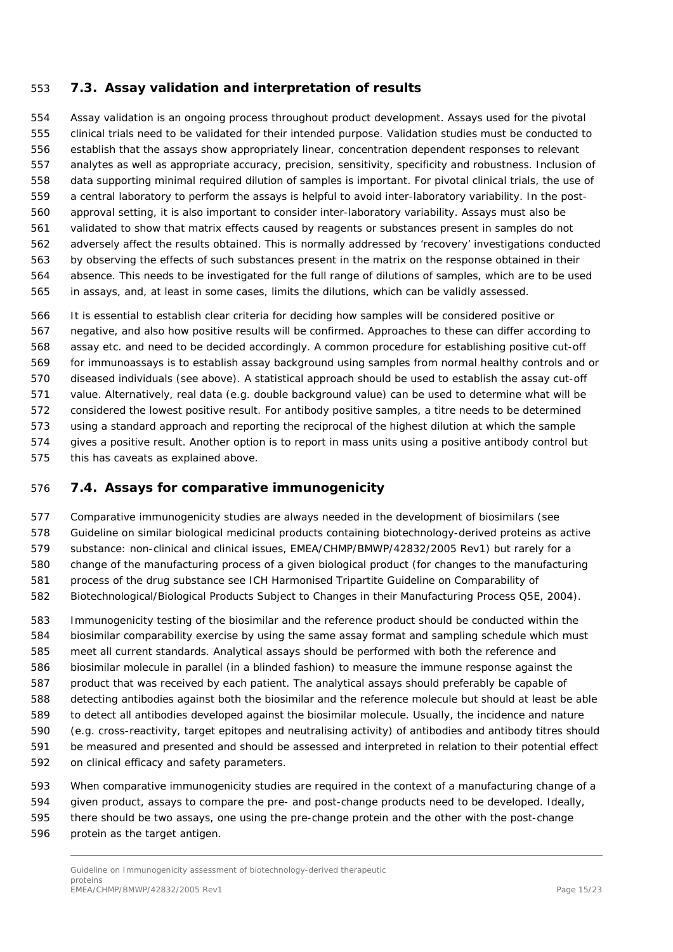### <span id="page-14-0"></span>*7.3. Assay validation and interpretation of results*

 Assay validation is an ongoing process throughout product development. Assays used for the pivotal clinical trials need to be validated for their intended purpose. Validation studies must be conducted to establish that the assays show appropriately linear, concentration dependent responses to relevant analytes as well as appropriate accuracy, precision, sensitivity, specificity and robustness. Inclusion of data supporting minimal required dilution of samples is important. For pivotal clinical trials, the use of a central laboratory to perform the assays is helpful to avoid inter-laboratory variability. In the post- approval setting, it is also important to consider inter-laboratory variability. Assays must also be validated to show that matrix effects caused by reagents or substances present in samples do not adversely affect the results obtained. This is normally addressed by 'recovery' investigations conducted by observing the effects of such substances present in the matrix on the response obtained in their absence. This needs to be investigated for the full range of dilutions of samples, which are to be used in assays, and, at least in some cases, limits the dilutions, which can be validly assessed.

 It is essential to establish clear criteria for deciding how samples will be considered positive or negative, and also how positive results will be confirmed. Approaches to these can differ according to assay etc. and need to be decided accordingly. A common procedure for establishing positive cut-off for immunoassays is to establish assay background using samples from normal healthy controls and or diseased individuals (see above). A statistical approach should be used to establish the assay cut-off value. Alternatively, real data (e.g. double background value) can be used to determine what will be considered the lowest positive result. For antibody positive samples, a titre needs to be determined using a standard approach and reporting the reciprocal of the highest dilution at which the sample gives a positive result. Another option is to report in mass units using a positive antibody control but this has caveats as explained above.

### <span id="page-14-1"></span>*7.4. Assays for comparative immunogenicity*

 Comparative immunogenicity studies are always needed in the development of biosimilars (see Guideline on similar biological medicinal products containing biotechnology-derived proteins as active substance: non-clinical and clinical issues, EMEA/CHMP/BMWP/42832/2005 Rev1) but rarely for a change of the manufacturing process of a given biological product (for changes to the manufacturing process of the drug substance see ICH Harmonised Tripartite Guideline on Comparability of Biotechnological/Biological Products Subject to Changes in their Manufacturing Process Q5E, 2004).

 Immunogenicity testing of the biosimilar and the reference product should be conducted within the biosimilar comparability exercise by using the same assay format and sampling schedule which must meet all current standards. Analytical assays should be performed with both the reference and biosimilar molecule in parallel (in a blinded fashion) to measure the immune response against the product that was received by each patient. The analytical assays should preferably be capable of detecting antibodies against both the biosimilar and the reference molecule but should at least be able to detect all antibodies developed against the biosimilar molecule. Usually, the incidence and nature (e.g. cross-reactivity, target epitopes and neutralising activity) of antibodies and antibody titres should be measured and presented and should be assessed and interpreted in relation to their potential effect on clinical efficacy and safety parameters.

 When comparative immunogenicity studies are required in the context of a manufacturing change of a given product, assays to compare the pre- and post-change products need to be developed. Ideally, there should be two assays, one using the pre-change protein and the other with the post-change protein as the target antigen.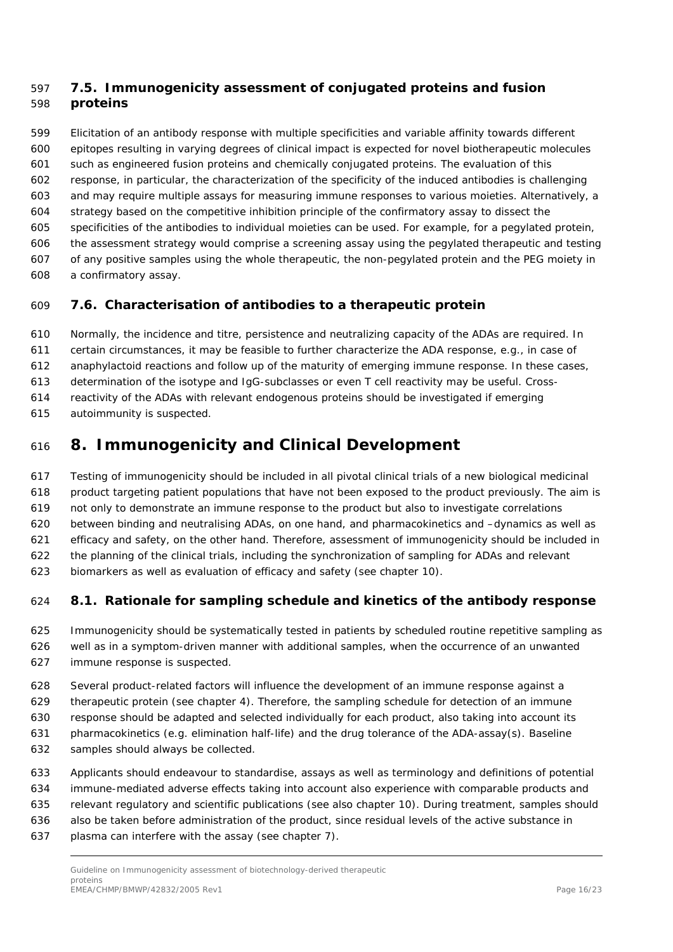### <span id="page-15-0"></span> *7.5. Immunogenicity assessment of conjugated proteins and fusion proteins*

 Elicitation of an antibody response with multiple specificities and variable affinity towards different epitopes resulting in varying degrees of clinical impact is expected for novel biotherapeutic molecules such as engineered fusion proteins and chemically conjugated proteins. The evaluation of this response, in particular, the characterization of the specificity of the induced antibodies is challenging and may require multiple assays for measuring immune responses to various moieties. Alternatively, a strategy based on the competitive inhibition principle of the confirmatory assay to dissect the specificities of the antibodies to individual moieties can be used. For example, for a pegylated protein, the assessment strategy would comprise a screening assay using the pegylated therapeutic and testing of any positive samples using the whole therapeutic, the non-pegylated protein and the PEG moiety in a confirmatory assay.

### <span id="page-15-1"></span>*7.6. Characterisation of antibodies to a therapeutic protein*

Normally, the incidence and titre, persistence and neutralizing capacity of the ADAs are required. In

certain circumstances, it may be feasible to further characterize the ADA response, e.g., in case of

anaphylactoid reactions and follow up of the maturity of emerging immune response. In these cases,

determination of the isotype and IgG-subclasses or even T cell reactivity may be useful. Cross-

reactivity of the ADAs with relevant endogenous proteins should be investigated if emerging

autoimmunity is suspected.

# <span id="page-15-2"></span>**8. Immunogenicity and Clinical Development**

 Testing of immunogenicity should be included in all pivotal clinical trials of a new biological medicinal product targeting patient populations that have not been exposed to the product previously. The aim is

not only to demonstrate an immune response to the product but also to investigate correlations

between binding and neutralising ADAs, on one hand, and pharmacokinetics and –dynamics as well as

efficacy and safety, on the other hand. Therefore, assessment of immunogenicity should be included in

the planning of the clinical trials, including the synchronization of sampling for ADAs and relevant

biomarkers as well as evaluation of efficacy and safety (see chapter 10).

### <span id="page-15-3"></span>*8.1. Rationale for sampling schedule and kinetics of the antibody response*

 Immunogenicity should be systematically tested in patients by scheduled routine repetitive sampling as well as in a symptom-driven manner with additional samples, when the occurrence of an unwanted immune response is suspected.

Several product-related factors will influence the development of an immune response against a

therapeutic protein (see chapter 4). Therefore, the sampling schedule for detection of an immune

response should be adapted and selected individually for each product, also taking into account its

- pharmacokinetics (e.g. elimination half-life) and the drug tolerance of the ADA-assay(s). Baseline
- samples should always be collected.
- Applicants should endeavour to standardise, assays as well as terminology and definitions of potential
- immune-mediated adverse effects taking into account also experience with comparable products and
- relevant regulatory and scientific publications (see also chapter 10). During treatment, samples should
- also be taken before administration of the product, since residual levels of the active substance in
- plasma can interfere with the assay (see chapter 7).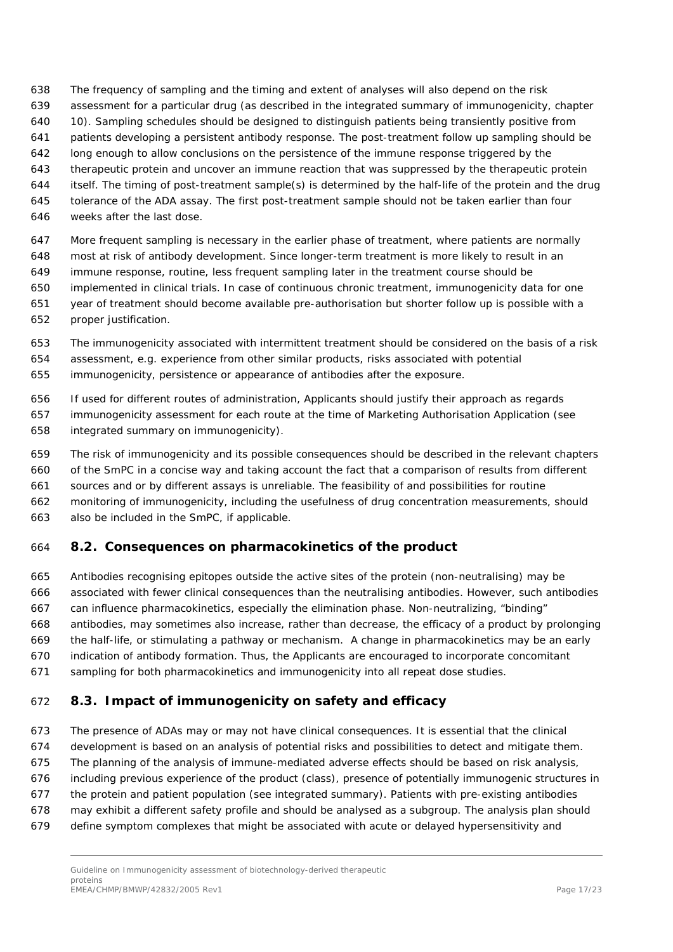- The frequency of sampling and the timing and extent of analyses will also depend on the risk
- assessment for a particular drug (as described in the integrated summary of immunogenicity, chapter
- 10). Sampling schedules should be designed to distinguish patients being transiently positive from
- patients developing a persistent antibody response. The post-treatment follow up sampling should be
- long enough to allow conclusions on the persistence of the immune response triggered by the
- therapeutic protein and uncover an immune reaction that was suppressed by the therapeutic protein
- itself. The timing of post-treatment sample(s) is determined by the half-life of the protein and the drug
- tolerance of the ADA assay. The first post-treatment sample should not be taken earlier than four
- weeks after the last dose.
- More frequent sampling is necessary in the earlier phase of treatment, where patients are normally
- most at risk of antibody development. Since longer-term treatment is more likely to result in an
- immune response, routine, less frequent sampling later in the treatment course should be
- implemented in clinical trials. In case of continuous chronic treatment, immunogenicity data for one year of treatment should become available pre-authorisation but shorter follow up is possible with a
- proper justification.
- The immunogenicity associated with intermittent treatment should be considered on the basis of a risk assessment, e.g. experience from other similar products, risks associated with potential immunogenicity, persistence or appearance of antibodies after the exposure.
- If used for different routes of administration, Applicants should justify their approach as regards immunogenicity assessment for each route at the time of Marketing Authorisation Application (see integrated summary on immunogenicity).
- The risk of immunogenicity and its possible consequences should be described in the relevant chapters of the SmPC in a concise way and taking account the fact that a comparison of results from different sources and or by different assays is unreliable. The feasibility of and possibilities for routine monitoring of immunogenicity, including the usefulness of drug concentration measurements, should also be included in the SmPC, if applicable.

### <span id="page-16-0"></span>*8.2. Consequences on pharmacokinetics of the product*

 Antibodies recognising epitopes outside the active sites of the protein (non-neutralising) may be associated with fewer clinical consequences than the neutralising antibodies. However, such antibodies can influence pharmacokinetics, especially the elimination phase. Non-neutralizing, "binding" antibodies, may sometimes also increase, rather than decrease, the efficacy of a product by prolonging the half-life, or stimulating a pathway or mechanism. A change in pharmacokinetics may be an early indication of antibody formation. Thus, the Applicants are encouraged to incorporate concomitant sampling for both pharmacokinetics and immunogenicity into all repeat dose studies.

### <span id="page-16-1"></span>*8.3. Impact of immunogenicity on safety and efficacy*

- The presence of ADAs may or may not have clinical consequences. It is essential that the clinical
- development is based on an analysis of potential risks and possibilities to detect and mitigate them.
- The planning of the analysis of immune-mediated adverse effects should be based on risk analysis,
- including previous experience of the product (class), presence of potentially immunogenic structures in
- the protein and patient population (see integrated summary). Patients with pre-existing antibodies
- may exhibit a different safety profile and should be analysed as a subgroup. The analysis plan should
- define symptom complexes that might be associated with acute or delayed hypersensitivity and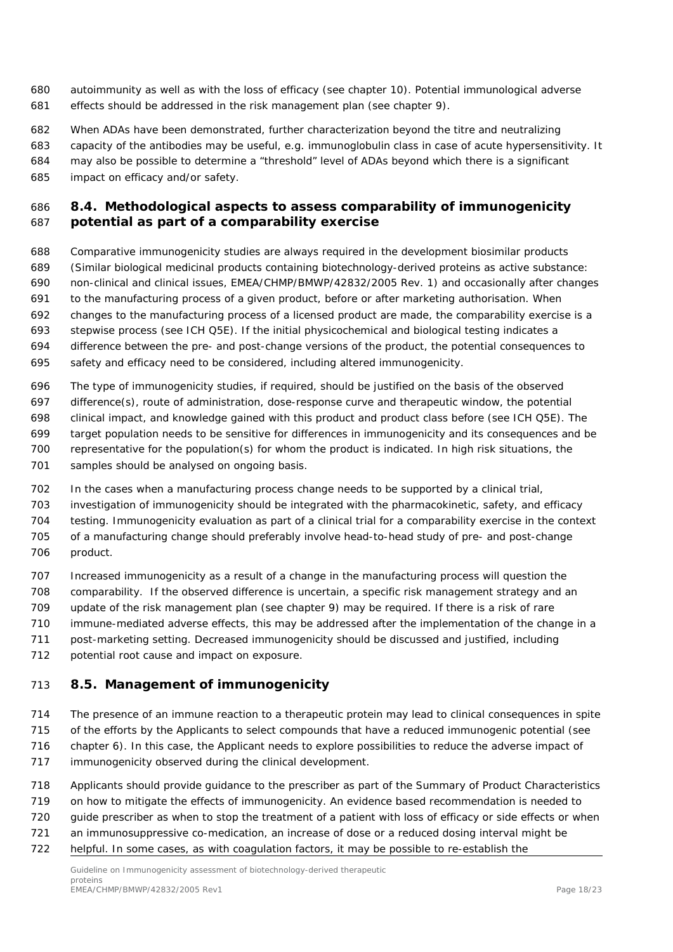- autoimmunity as well as with the loss of efficacy (see chapter 10). Potential immunological adverse effects should be addressed in the risk management plan (see chapter 9).
- When ADAs have been demonstrated, further characterization beyond the titre and neutralizing
- capacity of the antibodies may be useful, e.g. immunoglobulin class in case of acute hypersensitivity. It may also be possible to determine a "threshold" level of ADAs beyond which there is a significant
- impact on efficacy and/or safety.

### <span id="page-17-0"></span> *8.4. Methodological aspects to assess comparability of immunogenicity potential as part of a comparability exercise*

- Comparative immunogenicity studies are always required in the development biosimilar products (Similar biological medicinal products containing biotechnology-derived proteins as active substance: non-clinical and clinical issues, EMEA/CHMP/BMWP/42832/2005 Rev. 1) and occasionally after changes to the manufacturing process of a given product, before or after marketing authorisation. When changes to the manufacturing process of a licensed product are made, the comparability exercise is a stepwise process (see ICH Q5E). If the initial physicochemical and biological testing indicates a difference between the pre- and post-change versions of the product, the potential consequences to
- safety and efficacy need to be considered, including altered immunogenicity.
- The type of immunogenicity studies, if required, should be justified on the basis of the observed difference(s), route of administration, dose-response curve and therapeutic window, the potential clinical impact, and knowledge gained with this product and product class before (see ICH Q5E). The target population needs to be sensitive for differences in immunogenicity and its consequences and be representative for the population(s) for whom the product is indicated. In high risk situations, the samples should be analysed on ongoing basis.
- In the cases when a manufacturing process change needs to be supported by a clinical trial, investigation of immunogenicity should be integrated with the pharmacokinetic, safety, and efficacy testing. Immunogenicity evaluation as part of a clinical trial for a comparability exercise in the context of a manufacturing change should preferably involve head-to-head study of pre- and post-change
- product.
- Increased immunogenicity as a result of a change in the manufacturing process will question the comparability. If the observed difference is uncertain, a specific risk management strategy and an update of the risk management plan (see chapter 9) may be required. If there is a risk of rare
- immune-mediated adverse effects, this may be addressed after the implementation of the change in a
- post-marketing setting. Decreased immunogenicity should be discussed and justified, including
- potential root cause and impact on exposure.

### <span id="page-17-1"></span>*8.5. Management of immunogenicity*

- The presence of an immune reaction to a therapeutic protein may lead to clinical consequences in spite of the efforts by the Applicants to select compounds that have a reduced immunogenic potential (see chapter 6). In this case, the Applicant needs to explore possibilities to reduce the adverse impact of
- immunogenicity observed during the clinical development.
- Applicants should provide guidance to the prescriber as part of the Summary of Product Characteristics
- on how to mitigate the effects of immunogenicity. An evidence based recommendation is needed to
- guide prescriber as when to stop the treatment of a patient with loss of efficacy or side effects or when
- an immunosuppressive co-medication, an increase of dose or a reduced dosing interval might be
- helpful. In some cases, as with coagulation factors, it may be possible to re-establish the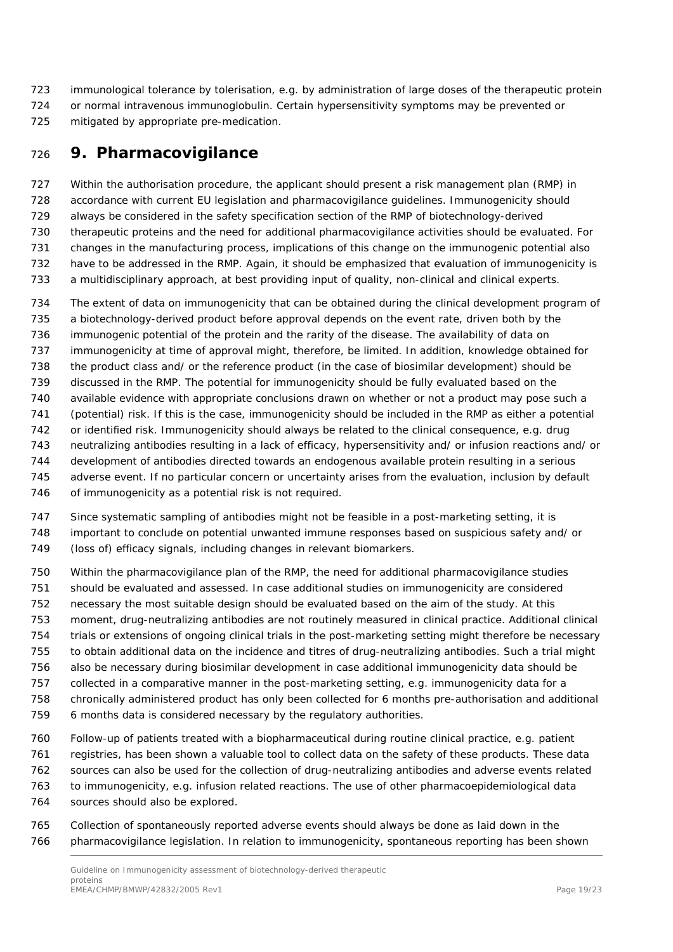- immunological tolerance by tolerisation, e.g. by administration of large doses of the therapeutic protein or normal intravenous immunoglobulin. Certain hypersensitivity symptoms may be prevented or
- mitigated by appropriate pre-medication.

# <span id="page-18-0"></span>**9. Pharmacovigilance**

 Within the authorisation procedure, the applicant should present a risk management plan (RMP) in accordance with current EU legislation and pharmacovigilance guidelines. Immunogenicity should always be considered in the safety specification section of the RMP of biotechnology-derived therapeutic proteins and the need for additional pharmacovigilance activities should be evaluated. For changes in the manufacturing process, implications of this change on the immunogenic potential also have to be addressed in the RMP. Again, it should be emphasized that evaluation of immunogenicity is a multidisciplinary approach, at best providing input of quality, non-clinical and clinical experts.

 The extent of data on immunogenicity that can be obtained during the clinical development program of a biotechnology-derived product before approval depends on the event rate, driven both by the immunogenic potential of the protein and the rarity of the disease. The availability of data on immunogenicity at time of approval might, therefore, be limited. In addition, knowledge obtained for the product class and/ or the reference product (in the case of biosimilar development) should be discussed in the RMP. The potential for immunogenicity should be fully evaluated based on the available evidence with appropriate conclusions drawn on whether or not a product may pose such a (potential) risk. If this is the case, immunogenicity should be included in the RMP as either a potential or identified risk. Immunogenicity should always be related to the clinical consequence, e.g. drug neutralizing antibodies resulting in a lack of efficacy, hypersensitivity and/ or infusion reactions and/ or development of antibodies directed towards an endogenous available protein resulting in a serious adverse event. If no particular concern or uncertainty arises from the evaluation, inclusion by default 746 of immunogenicity as a potential risk is not required.

- Since systematic sampling of antibodies might not be feasible in a post-marketing setting, it is important to conclude on potential unwanted immune responses based on suspicious safety and/ or
- (loss of) efficacy signals, including changes in relevant biomarkers.
- Within the pharmacovigilance plan of the RMP, the need for additional pharmacovigilance studies should be evaluated and assessed. In case additional studies on immunogenicity are considered necessary the most suitable design should be evaluated based on the aim of the study. At this moment, drug-neutralizing antibodies are not routinely measured in clinical practice. Additional clinical trials or extensions of ongoing clinical trials in the post-marketing setting might therefore be necessary to obtain additional data on the incidence and titres of drug-neutralizing antibodies. Such a trial might also be necessary during biosimilar development in case additional immunogenicity data should be collected in a comparative manner in the post-marketing setting, e.g. immunogenicity data for a chronically administered product has only been collected for 6 months pre-authorisation and additional 6 months data is considered necessary by the regulatory authorities.
- Follow-up of patients treated with a biopharmaceutical during routine clinical practice, e.g. patient registries, has been shown a valuable tool to collect data on the safety of these products. These data sources can also be used for the collection of drug-neutralizing antibodies and adverse events related to immunogenicity, e.g. infusion related reactions. The use of other pharmacoepidemiological data sources should also be explored.
- Collection of spontaneously reported adverse events should always be done as laid down in the pharmacovigilance legislation. In relation to immunogenicity, spontaneous reporting has been shown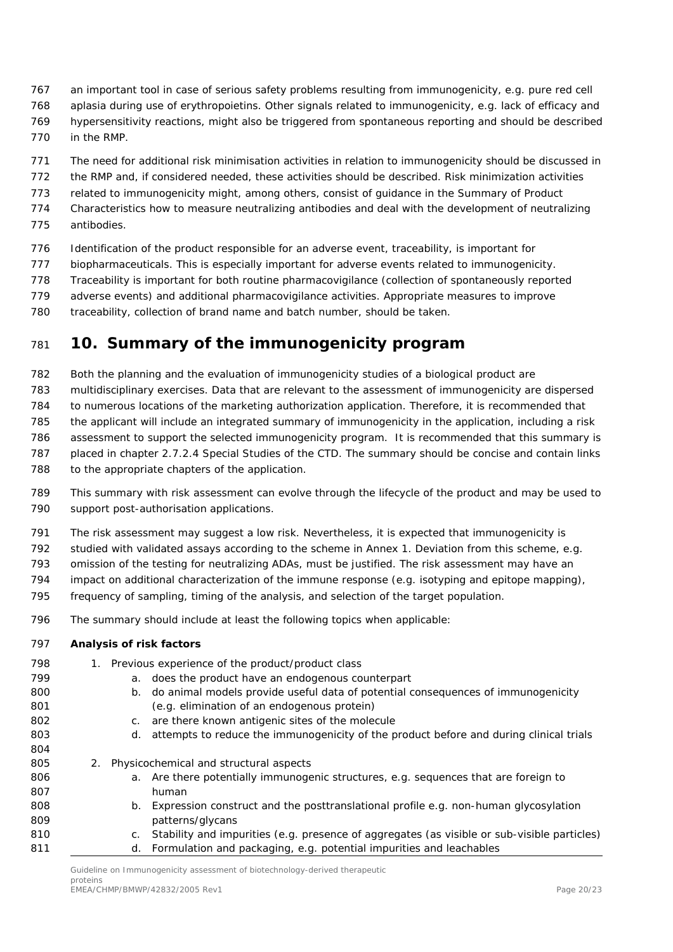- an important tool in case of serious safety problems resulting from immunogenicity, e.g. pure red cell
- aplasia during use of erythropoietins. Other signals related to immunogenicity, e.g. lack of efficacy and
- hypersensitivity reactions, might also be triggered from spontaneous reporting and should be described
- in the RMP.
- The need for additional risk minimisation activities in relation to immunogenicity should be discussed in
- the RMP and, if considered needed, these activities should be described. Risk minimization activities
- related to immunogenicity might, among others, consist of guidance in the Summary of Product
- Characteristics how to measure neutralizing antibodies and deal with the development of neutralizing
- antibodies.
- Identification of the product responsible for an adverse event, traceability, is important for
- biopharmaceuticals. This is especially important for adverse events related to immunogenicity.
- Traceability is important for both routine pharmacovigilance (collection of spontaneously reported
- adverse events) and additional pharmacovigilance activities. Appropriate measures to improve
- traceability, collection of brand name and batch number, should be taken.

# <span id="page-19-0"></span>**10. Summary of the immunogenicity program**

Both the planning and the evaluation of immunogenicity studies of a biological product are

- multidisciplinary exercises. Data that are relevant to the assessment of immunogenicity are dispersed
- to numerous locations of the marketing authorization application. Therefore, it is recommended that
- the applicant will include an integrated summary of immunogenicity in the application, including a risk
- assessment to support the selected immunogenicity program. It is recommended that this summary is
- placed in chapter 2.7.2.4 Special Studies of the CTD. The summary should be concise and contain links
- to the appropriate chapters of the application.
- This summary with risk assessment can evolve through the lifecycle of the product and may be used to support post-authorisation applications.
- The risk assessment may suggest a low risk. Nevertheless, it is expected that immunogenicity is
- studied with validated assays according to the scheme in Annex 1. Deviation from this scheme, e.g.
- omission of the testing for neutralizing ADAs, must be justified. The risk assessment may have an
- impact on additional characterization of the immune response (e.g. isotyping and epitope mapping),
- frequency of sampling, timing of the analysis, and selection of the target population.
- The summary should include at least the following topics when applicable:

### **Analysis of risk factors**

 1. Previous experience of the product/product class a. does the product have an endogenous counterpart b. do animal models provide useful data of potential consequences of immunogenicity (e.g. elimination of an endogenous protein) c. are there known antigenic sites of the molecule 803 d. attempts to reduce the immunogenicity of the product before and during clinical trials 2. Physicochemical and structural aspects 806 a. Are there potentially immunogenic structures, e.g. sequences that are foreign to human 808 b. Expression construct and the posttranslational profile e.g. non-human glycosylation patterns/glycans **c.** Stability and impurities (e.g. presence of aggregates (as visible or sub-visible particles) d. Formulation and packaging, e.g. potential impurities and leachables

Guideline on Immunogenicity assessment of biotechnology-derived therapeutic proteins .<br>EMEA/CHMP/BMWP/42832/2005 Rev1 Page 20/23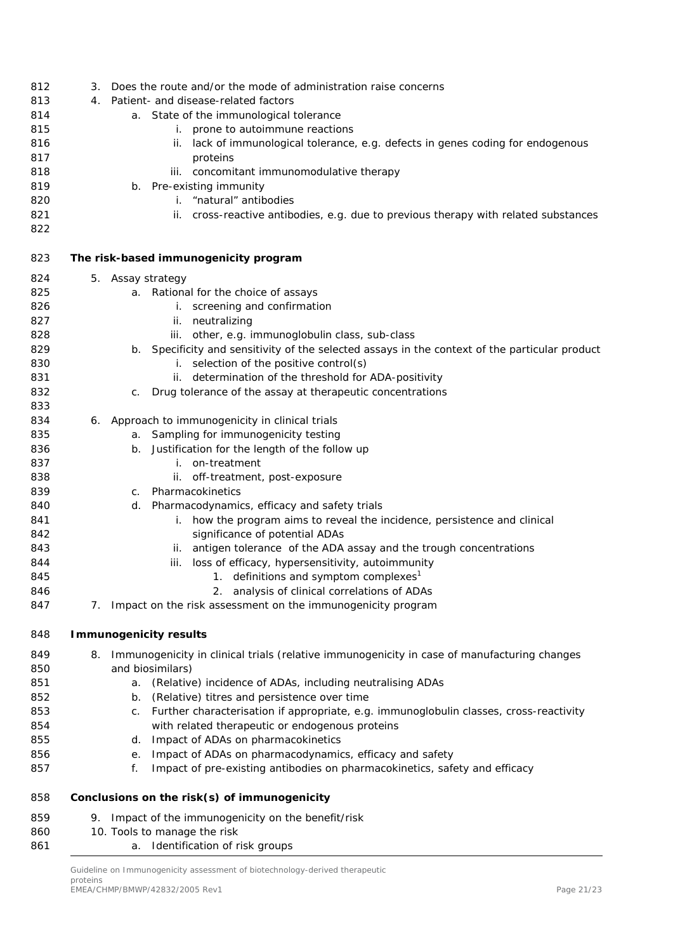| 812 | З. | Does the route and/or the mode of administration raise concerns                                |
|-----|----|------------------------------------------------------------------------------------------------|
| 813 | 4. | Patient- and disease-related factors                                                           |
| 814 |    | a. State of the immunological tolerance                                                        |
| 815 |    | i. prone to autoimmune reactions                                                               |
| 816 |    | lack of immunological tolerance, e.g. defects in genes coding for endogenous<br>ii.            |
| 817 |    | proteins                                                                                       |
| 818 |    | iii. concomitant immunomodulative therapy                                                      |
| 819 |    | b. Pre-existing immunity                                                                       |
| 820 |    | i. "natural" antibodies                                                                        |
| 821 |    | ii. cross-reactive antibodies, e.g. due to previous therapy with related substances            |
| 822 |    |                                                                                                |
|     |    |                                                                                                |
| 823 |    | The risk-based immunogenicity program                                                          |
| 824 |    | 5. Assay strategy                                                                              |
| 825 |    | a. Rational for the choice of assays                                                           |
| 826 |    | i. screening and confirmation                                                                  |
| 827 |    | ii. neutralizing                                                                               |
| 828 |    | iii. other, e.g. immunoglobulin class, sub-class                                               |
| 829 |    | b. Specificity and sensitivity of the selected assays in the context of the particular product |
| 830 |    | i. selection of the positive control(s)                                                        |
| 831 |    | ii. determination of the threshold for ADA-positivity                                          |
| 832 |    | Drug tolerance of the assay at therapeutic concentrations<br>C.                                |
| 833 |    |                                                                                                |
| 834 |    | 6. Approach to immunogenicity in clinical trials                                               |
| 835 |    | Sampling for immunogenicity testing<br>а.                                                      |
| 836 |    | Justification for the length of the follow up<br>b.                                            |
| 837 |    | i. on-treatment                                                                                |
| 838 |    | ii. off-treatment, post-exposure                                                               |
| 839 |    | Pharmacokinetics                                                                               |
|     |    | C.                                                                                             |
| 840 |    | Pharmacodynamics, efficacy and safety trials<br>d.                                             |
| 841 |    | i. how the program aims to reveal the incidence, persistence and clinical                      |
| 842 |    | significance of potential ADAs                                                                 |
| 843 |    | ii. antigen tolerance of the ADA assay and the trough concentrations                           |
| 844 |    | loss of efficacy, hypersensitivity, autoimmunity<br>iii.                                       |
| 845 |    | 1. definitions and symptom complexes <sup>1</sup>                                              |
| 846 |    | 2. analysis of clinical correlations of ADAs                                                   |
| 847 | 7. | Impact on the risk assessment on the immunogenicity program                                    |
| 848 |    | <b>Immunogenicity results</b>                                                                  |
| 849 | 8. | Immunogenicity in clinical trials (relative immunogenicity in case of manufacturing changes    |
| 850 |    | and biosimilars)                                                                               |
| 851 |    | (Relative) incidence of ADAs, including neutralising ADAs<br>а.                                |
| 852 |    | (Relative) titres and persistence over time<br>b.                                              |
| 853 |    | Further characterisation if appropriate, e.g. immunoglobulin classes, cross-reactivity<br>C.   |
| 854 |    | with related therapeutic or endogenous proteins                                                |
| 855 |    | Impact of ADAs on pharmacokinetics<br>d.                                                       |
| 856 |    | Impact of ADAs on pharmacodynamics, efficacy and safety<br>е.                                  |
| 857 |    | Impact of pre-existing antibodies on pharmacokinetics, safety and efficacy<br>f.               |
|     |    |                                                                                                |
| 858 |    | Conclusions on the risk(s) of immunogenicity                                                   |
| 859 |    | 9. Impact of the immunogenicity on the benefit/risk                                            |
| 860 |    | 10. Tools to manage the risk                                                                   |
| 861 |    | a. Identification of risk groups                                                               |

Guideline on Immunogenicity assessment of biotechnology-derived therapeutic proteins EMEA/CHMP/BMWP/42832/2005 Rev1 Page 21/23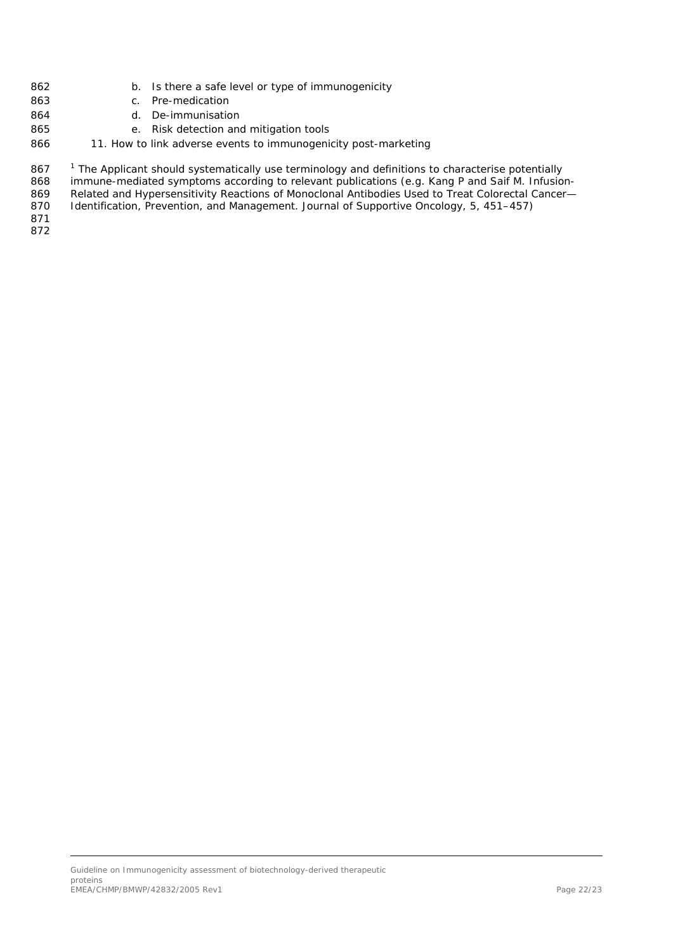- b. Is there a safe level or type of immunogenicity
- c. Pre-medication
- d. De-immunisation
- e. Risk detection and mitigation tools
- 866 11. How to link adverse events to immunogenicity post-marketing

867 <sup>1</sup> The Applicant should systematically use terminology and definitions to characterise potentially immune-mediated symptoms according to relevant publications (e.g. Kang P and Saif M. Infusion- Related and Hypersensitivity Reactions of Monoclonal Antibodies Used to Treat Colorectal Cancer— Identification, Prevention, and Management. Journal of Supportive Oncology, 5, 451–457)